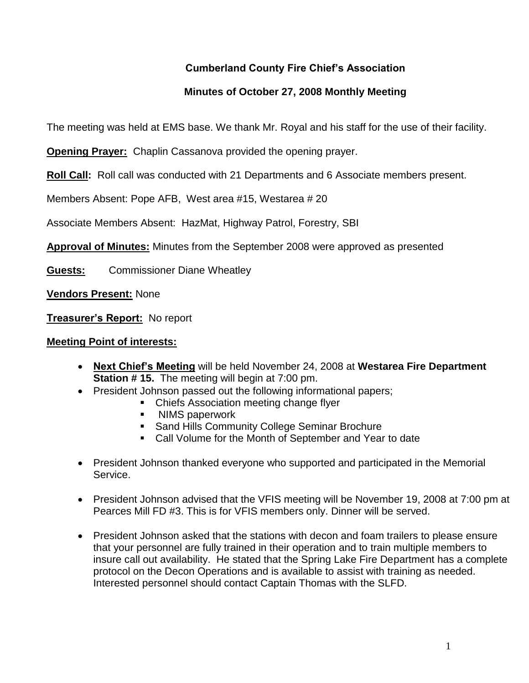# **Cumberland County Fire Chief's Association**

# **Minutes of October 27, 2008 Monthly Meeting**

The meeting was held at EMS base. We thank Mr. Royal and his staff for the use of their facility.

**Opening Prayer:** Chaplin Cassanova provided the opening prayer.

**Roll Call:** Roll call was conducted with 21 Departments and 6 Associate members present.

Members Absent: Pope AFB, West area #15, Westarea # 20

Associate Members Absent: HazMat, Highway Patrol, Forestry, SBI

**Approval of Minutes:** Minutes from the September 2008 were approved as presented

**Guests:** Commissioner Diane Wheatley

**Vendors Present:** None

**Treasurer's Report:** No report

### **Meeting Point of interests:**

- **Next Chief's Meeting** will be held November 24, 2008 at **Westarea Fire Department Station # 15.** The meeting will begin at 7:00 pm.
- President Johnson passed out the following informational papers;
	- Chiefs Association meeting change flyer
	- **NIMS paperwork**
	- **Sand Hills Community College Seminar Brochure**
	- Call Volume for the Month of September and Year to date
- President Johnson thanked everyone who supported and participated in the Memorial Service.
- President Johnson advised that the VFIS meeting will be November 19, 2008 at 7:00 pm at Pearces Mill FD #3. This is for VFIS members only. Dinner will be served.
- President Johnson asked that the stations with decon and foam trailers to please ensure that your personnel are fully trained in their operation and to train multiple members to insure call out availability. He stated that the Spring Lake Fire Department has a complete protocol on the Decon Operations and is available to assist with training as needed. Interested personnel should contact Captain Thomas with the SLFD.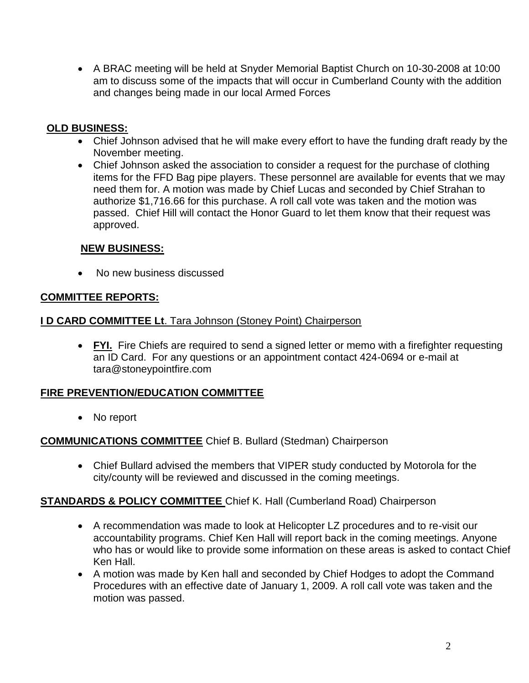A BRAC meeting will be held at Snyder Memorial Baptist Church on 10-30-2008 at 10:00 am to discuss some of the impacts that will occur in Cumberland County with the addition and changes being made in our local Armed Forces

## **OLD BUSINESS:**

- Chief Johnson advised that he will make every effort to have the funding draft ready by the November meeting.
- Chief Johnson asked the association to consider a request for the purchase of clothing items for the FFD Bag pipe players. These personnel are available for events that we may need them for. A motion was made by Chief Lucas and seconded by Chief Strahan to authorize \$1,716.66 for this purchase. A roll call vote was taken and the motion was passed. Chief Hill will contact the Honor Guard to let them know that their request was approved.

## **NEW BUSINESS:**

• No new business discussed

## **COMMITTEE REPORTS:**

#### **I D CARD COMMITTEE Lt**. Tara Johnson (Stoney Point) Chairperson

• FYI. Fire Chiefs are required to send a signed letter or memo with a firefighter requesting an ID Card. For any questions or an appointment contact 424-0694 or e-mail at [tara@stoneypointfire.com](mailto:tara@stoneypointfire.com)

### **FIRE PREVENTION/EDUCATION COMMITTEE**

• No report

### **COMMUNICATIONS COMMITTEE** Chief B. Bullard (Stedman) Chairperson

 Chief Bullard advised the members that VIPER study conducted by Motorola for the city/county will be reviewed and discussed in the coming meetings.

# **STANDARDS & POLICY COMMITTEE** Chief K. Hall (Cumberland Road) Chairperson

- A recommendation was made to look at Helicopter LZ procedures and to re-visit our accountability programs. Chief Ken Hall will report back in the coming meetings. Anyone who has or would like to provide some information on these areas is asked to contact Chief Ken Hall.
- A motion was made by Ken hall and seconded by Chief Hodges to adopt the Command Procedures with an effective date of January 1, 2009. A roll call vote was taken and the motion was passed.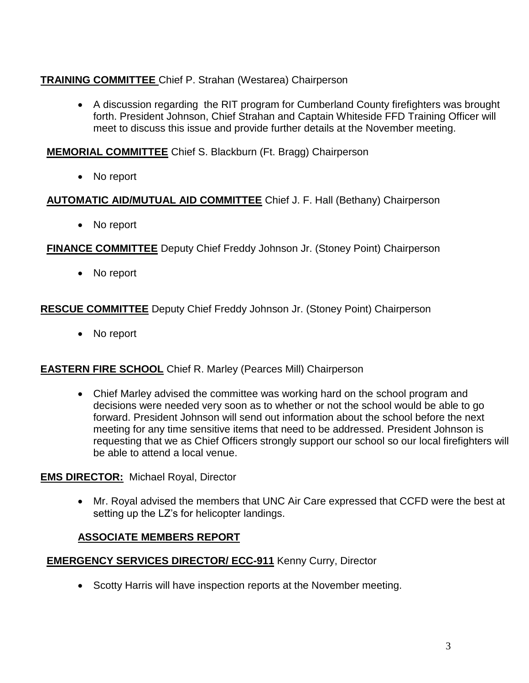# **TRAINING COMMITTEE** Chief P. Strahan (Westarea) Chairperson

 A discussion regarding the RIT program for Cumberland County firefighters was brought forth. President Johnson, Chief Strahan and Captain Whiteside FFD Training Officer will meet to discuss this issue and provide further details at the November meeting.

**MEMORIAL COMMITTEE** Chief S. Blackburn (Ft. Bragg) Chairperson

• No report

## **AUTOMATIC AID/MUTUAL AID COMMITTEE** Chief J. F. Hall (Bethany) Chairperson

• No report

**FINANCE COMMITTEE** Deputy Chief Freddy Johnson Jr. (Stoney Point) Chairperson

• No report

**RESCUE COMMITTEE** Deputy Chief Freddy Johnson Jr. (Stoney Point) Chairperson

• No report

# **EASTERN FIRE SCHOOL** Chief R. Marley (Pearces Mill) Chairperson

 Chief Marley advised the committee was working hard on the school program and decisions were needed very soon as to whether or not the school would be able to go forward. President Johnson will send out information about the school before the next meeting for any time sensitive items that need to be addressed. President Johnson is requesting that we as Chief Officers strongly support our school so our local firefighters will be able to attend a local venue.

# **EMS DIRECTOR:** Michael Royal, Director

 Mr. Royal advised the members that UNC Air Care expressed that CCFD were the best at setting up the LZ's for helicopter landings.

# **ASSOCIATE MEMBERS REPORT**

# **EMERGENCY SERVICES DIRECTOR/ ECC-911** Kenny Curry, Director

• Scotty Harris will have inspection reports at the November meeting.